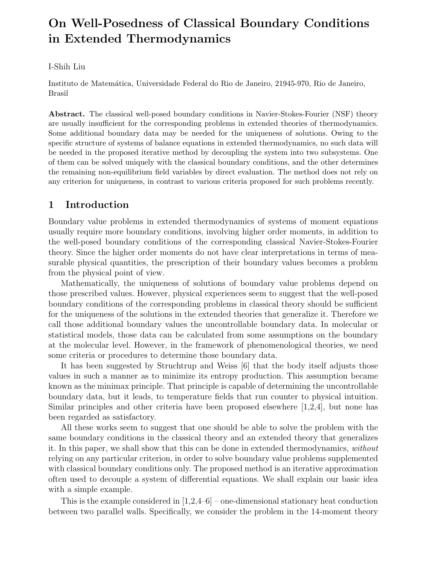# On Well-Posedness of Classical Boundary Conditions in Extended Thermodynamics

## I-Shih Liu

Instituto de Matemática, Universidade Federal do Rio de Janeiro, 21945-970, Rio de Janeiro, Brasil

Abstract. The classical well-posed boundary conditions in Navier-Stokes-Fourier (NSF) theory are usually insufficient for the corresponding problems in extended theories of thermodynamics. Some additional boundary data may be needed for the uniqueness of solutions. Owing to the specific structure of systems of balance equations in extended thermodynamics, no such data will be needed in the proposed iterative method by decoupling the system into two subsystems. One of them can be solved uniquely with the classical boundary conditions, and the other determines the remaining non-equilibrium field variables by direct evaluation. The method does not rely on any criterion for uniqueness, in contrast to various criteria proposed for such problems recently.

## 1 Introduction

Boundary value problems in extended thermodynamics of systems of moment equations usually require more boundary conditions, involving higher order moments, in addition to the well-posed boundary conditions of the corresponding classical Navier-Stokes-Fourier theory. Since the higher order moments do not have clear interpretations in terms of measurable physical quantities, the prescription of their boundary values becomes a problem from the physical point of view.

Mathematically, the uniqueness of solutions of boundary value problems depend on those prescribed values. However, physical experiences seem to suggest that the well-posed boundary conditions of the corresponding problems in classical theory should be sufficient for the uniqueness of the solutions in the extended theories that generalize it. Therefore we call those additional boundary values the uncontrollable boundary data. In molecular or statistical models, those data can be calculated from some assumptions on the boundary at the molecular level. However, in the framework of phenomenological theories, we need some criteria or procedures to determine those boundary data.

It has been suggested by Struchtrup and Weiss [6] that the body itself adjusts those values in such a manner as to minimize its entropy production. This assumption became known as the minimax principle. That principle is capable of determining the uncontrollable boundary data, but it leads, to temperature fields that run counter to physical intuition. Similar principles and other criteria have been proposed elsewhere [1,2,4], but none has been regarded as satisfactory.

All these works seem to suggest that one should be able to solve the problem with the same boundary conditions in the classical theory and an extended theory that generalizes it. In this paper, we shall show that this can be done in extended thermodynamics, without relying on any particular criterion, in order to solve boundary value problems supplemented with classical boundary conditions only. The proposed method is an iterative approximation often used to decouple a system of differential equations. We shall explain our basic idea with a simple example.

This is the example considered in  $[1,2,4-6]$  – one-dimensional stationary heat conduction between two parallel walls. Specifically, we consider the problem in the 14-moment theory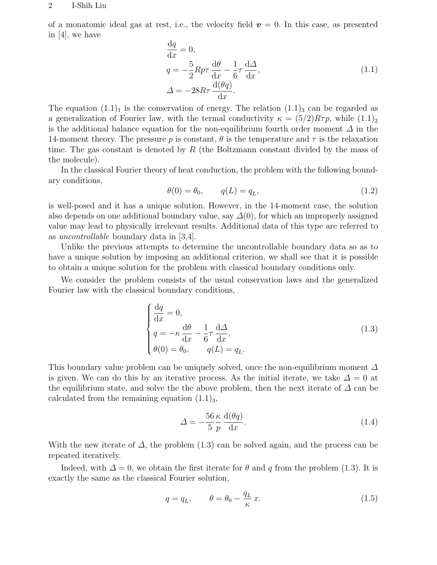#### 2 I-Shih Liu

of a monatomic ideal gas at rest, i.e., the velocity field  $v = 0$ . In this case, as presented in [4], we have

$$
\frac{dq}{dx} = 0,\n q = -\frac{5}{2} R p \tau \frac{d\theta}{dx} - \frac{1}{6} \tau \frac{d\Delta}{dx},\n \Delta = -28 R \tau \frac{d(\theta q)}{dx}.
$$
\n(1.1)

The equation  $(1.1)<sub>1</sub>$  is the conservation of energy. The relation  $(1.1)<sub>3</sub>$  can be regarded as a generalization of Fourier law, with the termal conductivity  $\kappa = (5/2)R\tau p$ , while  $(1.1)_2$ is the additional balance equation for the non-equilibrium fourth order moment  $\Delta$  in the 14-moment theory. The pressure p is constant,  $\theta$  is the temperature and  $\tau$  is the relaxation time. The gas constant is denoted by R (the Boltzmann constant divided by the mass of the molecule).

In the classical Fourier theory of heat conduction, the problem with the following boundary conditions,

$$
\theta(0) = \theta_0, \qquad q(L) = q_L,\tag{1.2}
$$

is well-posed and it has a unique solution. However, in the 14-moment case, the solution also depends on one additional boundary value, say  $\Delta(0)$ , for which an improperly assigned value may lead to physically irrelevant results. Additional data of this type are referred to as uncontrollable boundary data in [3,4].

Unlike the previous attempts to determine the uncontrollable boundary data so as to have a unique solution by imposing an additional criterion, we shall see that it is possible to obtain a unique solution for the problem with classical boundary conditions only.

We consider the problem consists of the usual conservation laws and the generalized Fourier law with the classical boundary conditions,

$$
\begin{cases}\n\frac{\mathrm{d}q}{\mathrm{d}x} = 0, \\
q = -\kappa \frac{\mathrm{d}\theta}{\mathrm{d}x} - \frac{1}{6}\tau \frac{\mathrm{d}\Delta}{\mathrm{d}x}, \\
\theta(0) = \theta_0, \qquad q(L) = q_L.\n\end{cases}
$$
\n(1.3)

This boundary value problem can be uniquely solved, once the non-equilibrium moment  $\Delta$ is given. We can do this by an iterative process. As the initial iterate, we take  $\Delta = 0$  at the equilibrium state, and solve the the above problem, then the next iterate of  $\Delta$  can be calculated from the remaining equation  $(1.1)<sub>3</sub>$ ,

$$
\Delta = -\frac{56}{5} \frac{\kappa}{p} \frac{\mathrm{d}(\theta q)}{\mathrm{d}x}.
$$
\n(1.4)

With the new iterate of  $\Delta$ , the problem (1.3) can be solved again, and the process can be repeated iteratively.

Indeed, with  $\Delta = 0$ , we obtain the first iterate for  $\theta$  and q from the problem (1.3). It is exactly the same as the classical Fourier solution,

$$
q = q_L, \qquad \theta = \theta_0 - \frac{q_L}{\kappa} x. \tag{1.5}
$$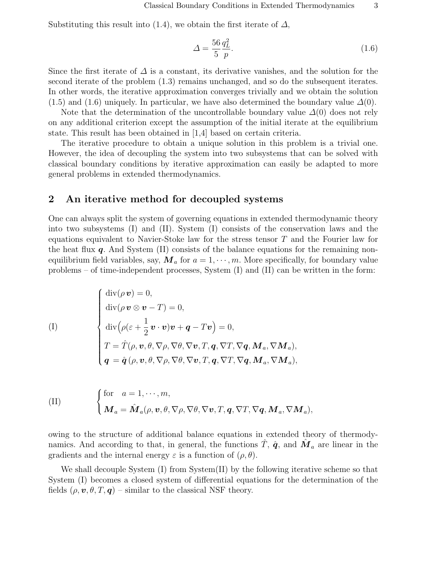Substituting this result into (1.4), we obtain the first iterate of  $\Delta$ ,

$$
\Delta = \frac{56}{5} \frac{q_L^2}{p}.\tag{1.6}
$$

Since the first iterate of  $\Delta$  is a constant, its derivative vanishes, and the solution for the second iterate of the problem  $(1.3)$  remains unchanged, and so do the subsequent iterates. In other words, the iterative approximation converges trivially and we obtain the solution (1.5) and (1.6) uniquely. In particular, we have also determined the boundary value  $\Delta(0)$ .

Note that the determination of the uncontrollable boundary value  $\Delta(0)$  does not rely on any additional criterion except the assumption of the initial iterate at the equilibrium state. This result has been obtained in [1,4] based on certain criteria.

The iterative procedure to obtain a unique solution in this problem is a trivial one. However, the idea of decoupling the system into two subsystems that can be solved with classical boundary conditions by iterative approximation can easily be adapted to more general problems in extended thermodynamics.

## 2 An iterative method for decoupled systems

One can always split the system of governing equations in extended thermodynamic theory into two subsystems (I) and (II). System (I) consists of the conservation laws and the equations equivalent to Navier-Stoke law for the stress tensor  $T$  and the Fourier law for the heat flux  $q$ . And System (II) consists of the balance equations for the remaining nonequilibrium field variables, say,  $\mathbf{M}_a$  for  $a = 1, \dots, m$ . More specifically, for boundary value problems – of time-independent processes, System (I) and (II) can be written in the form:

(1)  
\n
$$
\begin{cases}\n\text{div}(\rho \mathbf{v}) = 0, \\
\text{div}(\rho \mathbf{v} \otimes \mathbf{v} - T) = 0, \\
\text{div}(\rho(\varepsilon + \frac{1}{2}\mathbf{v} \cdot \mathbf{v})\mathbf{v} + \mathbf{q} - T\mathbf{v}) = 0, \\
T = \hat{T}(\rho, \mathbf{v}, \theta, \nabla \rho, \nabla \theta, \nabla \mathbf{v}, T, \mathbf{q}, \nabla T, \nabla \mathbf{q}, \mathbf{M}_a, \nabla \mathbf{M}_a), \\
\mathbf{q} = \hat{\mathbf{q}}(\rho, \mathbf{v}, \theta, \nabla \rho, \nabla \theta, \nabla \mathbf{v}, T, \mathbf{q}, \nabla T, \nabla \mathbf{q}, \mathbf{M}_a, \nabla \mathbf{M}_a),\n\end{cases}
$$

(II) 
$$
\begin{cases} \text{for } a = 1, \cdots, m, \\ \boldsymbol{M}_a = \hat{\boldsymbol{M}}_a(\rho, \boldsymbol{v}, \theta, \nabla \rho, \nabla \theta, \nabla \boldsymbol{v}, T, \boldsymbol{q}, \nabla T, \nabla \boldsymbol{q}, \boldsymbol{M}_a, \nabla \boldsymbol{M}_a), \end{cases}
$$

owing to the structure of additional balance equations in extended theory of thermodynamics. And according to that, in general, the functions  $\hat{T}$ ,  $\hat{q}$ , and  $\hat{M}_a$  are linear in the gradients and the internal energy  $\varepsilon$  is a function of  $(\rho, \theta)$ .

We shall decouple System (I) from System (II) by the following iterative scheme so that System (I) becomes a closed system of differential equations for the determination of the fields  $(\rho, \mathbf{v}, \theta, T, \mathbf{q})$  – similar to the classical NSF theory.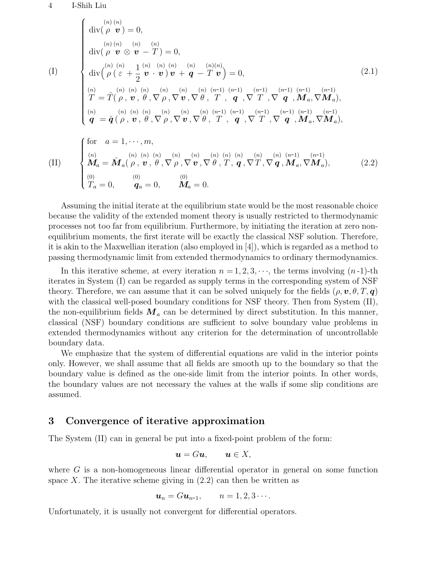#### 4 I-Shih Liu

(I) div( (n) ρ (n) v ) = 0, div( (n) ρ (n) v ⊗ (n) v − (n) T ) = 0, div³(n) ρ ( (n) ε + 1 2 (n) v · (n) v ) (n) v + (n) q − (n) T (n) v ´ = 0, (n) T = Tˆ( (n) ρ , (n) v , (n) θ , ∇ (n) ρ , ∇ (n) v , ∇ (n) θ , (n-1) T , (n-1) q , ∇ (n-1) T , ∇ (n-1) q , (n-1) Ma, ∇ (n-1) Ma), (n) q = qˆ ( (n) ρ , (n) v , (n) θ , ∇ (n) ρ , ∇ (n) v , ∇ (n) θ , (n-1) T , (n-1) q , ∇ (n-1) T , ∇ (n-1) q , (n-1) Ma, ∇ (n-1) Ma), (2.1) for a = 1, · · · , m,

(II) 
$$
\begin{cases}\n\begin{array}{c}\n(n) & (n) \ (n) \ (n) \ (n) \ (n) \ (n) \ (n) \ (n) \ \mathbf{W}_a = \hat{\mathbf{M}}_a(\rho, \mathbf{v}, \theta, \nabla \rho, \nabla \mathbf{v}, \nabla \theta, T, \mathbf{q}, \nabla T, \nabla \mathbf{q}, \mathbf{M}_a, \nabla \mathbf{M}_a), \\
(0) & (0) \ (0) \ (0) \ (0) \ (0) \ \mathbf{W}_a = 0, \qquad \mathbf{M}_a = 0.\n\end{array}\n\end{cases}
$$
\n(2.2)

Assuming the initial iterate at the equilibrium state would be the most reasonable choice because the validity of the extended moment theory is usually restricted to thermodynamic processes not too far from equilibrium. Furthermore, by initiating the iteration at zero nonequilibrium moments, the first iterate will be exactly the classical NSF solution. Therefore, it is akin to the Maxwellian iteration (also employed in [4]), which is regarded as a method to passing thermodynamic limit from extended thermodynamics to ordinary thermodynamics.

In this iterative scheme, at every iteration  $n = 1, 2, 3, \dots$ , the terms involving  $(n-1)$ -th iterates in System (I) can be regarded as supply terms in the corresponding system of NSF theory. Therefore, we can assume that it can be solved uniquely for the fields  $(\rho, \mathbf{v}, \theta, T, \mathbf{q})$ with the classical well-posed boundary conditions for NSF theory. Then from System (II), the non-equilibrium fields  $M_a$  can be determined by direct substitution. In this manner, classical (NSF) boundary conditions are sufficient to solve boundary value problems in extended thermodynamics without any criterion for the determination of uncontrollable boundary data.

We emphasize that the system of differential equations are valid in the interior points only. However, we shall assume that all fields are smooth up to the boundary so that the boundary value is defined as the one-side limit from the interior points. In other words, the boundary values are not necessary the values at the walls if some slip conditions are assumed.

## 3 Convergence of iterative approximation

The System (II) can in general be put into a fixed-point problem of the form:

$$
\mathbf{u}=G\mathbf{u},\qquad \mathbf{u}\in X,
$$

where  $G$  is a non-homogeneous linear differential operator in general on some function space X. The iterative scheme giving in  $(2.2)$  can then be written as

$$
\mathbf{u}_n = G \mathbf{u}_{n-1}, \qquad n = 1, 2, 3 \cdots.
$$

Unfortunately, it is usually not convergent for differential operators.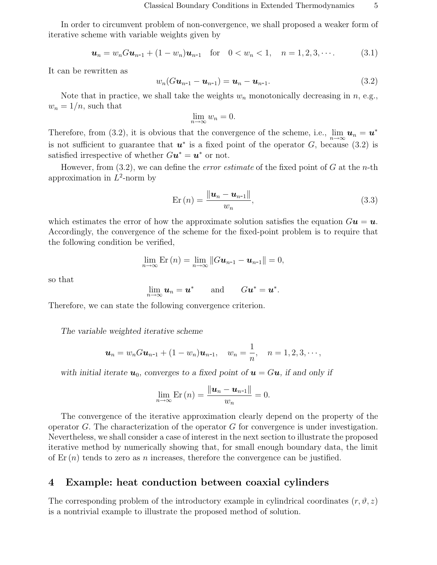In order to circumvent problem of non-convergence, we shall proposed a weaker form of iterative scheme with variable weights given by

$$
\mathbf{u}_n = w_n G \mathbf{u}_{n-1} + (1 - w_n) \mathbf{u}_{n-1} \quad \text{for} \quad 0 < w_n < 1, \quad n = 1, 2, 3, \cdots. \tag{3.1}
$$

It can be rewritten as

$$
w_n(Gu_{n-1}-u_{n-1})=u_n-u_{n-1}.
$$
\n(3.2)

Note that in practice, we shall take the weights  $w_n$  monotonically decreasing in  $n$ , e.g.,  $w_n = 1/n$ , such that

$$
\lim_{n \to \infty} w_n = 0.
$$

Therefore, from (3.2), it is obvious that the convergence of the scheme, i.e.,  $\lim_{n\to\infty} u_n = u^*$ is not sufficient to guarantee that  $u^*$  is a fixed point of the operator G, because (3.2) is satisfied irrespective of whether  $G**u**<sup>*</sup> = **u**<sup>*</sup>$  or not.

However, from  $(3.2)$ , we can define the *error estimate* of the fixed point of G at the *n*-th approximation in  $L^2$ -norm by

$$
\text{Er}\left(n\right) = \frac{\left\|\boldsymbol{u}_{n} - \boldsymbol{u}_{n-1}\right\|}{w_{n}},\tag{3.3}
$$

which estimates the error of how the approximate solution satisfies the equation  $Gu = u$ . Accordingly, the convergence of the scheme for the fixed-point problem is to require that the following condition be verified,

$$
\lim_{n\to\infty}\mathrm{Er}\left(n\right)=\lim_{n\to\infty}\left\Vert G\boldsymbol{u}_{n-1}-\boldsymbol{u}_{n-1}\right\Vert =0,
$$

so that

$$
\lim_{n\to\infty}u_n=u^*\qquad\text{and}\qquad Gu^*=u^*.
$$

Therefore, we can state the following convergence criterion.

The variable weighted iterative scheme

$$
\mathbf{u}_n = w_n G \mathbf{u}_{n-1} + (1 - w_n) \mathbf{u}_{n-1}, \quad w_n = \frac{1}{n}, \quad n = 1, 2, 3, \cdots,
$$

with initial iterate  $u_0$ , converges to a fixed point of  $u = Gu$ , if and only if

$$
\lim_{n\to\infty}\mathrm{Er}\left(n\right)=\frac{\left\Vert \boldsymbol{u}_{n}-\boldsymbol{u}_{n-1}\right\Vert }{w_{n}}=0.
$$

The convergence of the iterative approximation clearly depend on the property of the operator G. The characterization of the operator G for convergence is under investigation. Nevertheless, we shall consider a case of interest in the next section to illustrate the proposed iterative method by numerically showing that, for small enough boundary data, the limit of  $\mathrm{Er}\,(n)$  tends to zero as n increases, therefore the convergence can be justified.

## 4 Example: heat conduction between coaxial cylinders

The corresponding problem of the introductory example in cylindrical coordinates  $(r, \vartheta, z)$ is a nontrivial example to illustrate the proposed method of solution.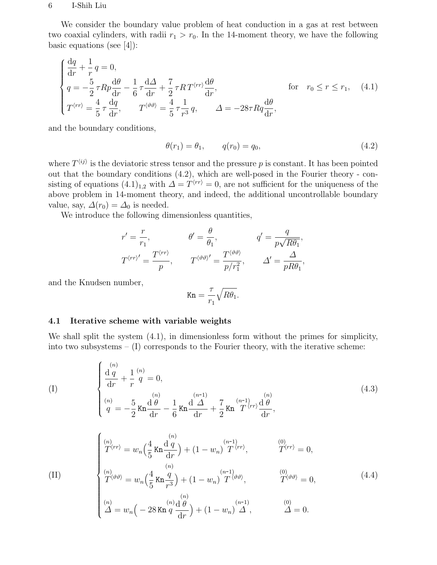#### 6 I-Shih Liu

We consider the boundary value problem of heat conduction in a gas at rest between two coaxial cylinders, with radii  $r_1 > r_0$ . In the 14-moment theory, we have the following basic equations (see  $[4]$ ):

$$
\begin{cases}\n\frac{dq}{dr} + \frac{1}{r}q = 0, \\
q = -\frac{5}{2}\tau R p \frac{d\theta}{dr} - \frac{1}{6}\tau \frac{d\Delta}{dr} + \frac{7}{2}\tau R T^{\langle rr \rangle} \frac{d\theta}{dr}, & \text{for} \quad r_0 \le r \le r_1,\n\end{cases}
$$
\n
$$
(4.1)
$$
\n
$$
T^{\langle rr \rangle} = \frac{4}{5}\tau \frac{dq}{dr}, \qquad T^{\langle \vartheta \vartheta \rangle} = \frac{4}{5}\tau \frac{1}{r^3}q, \qquad \Delta = -28\tau R q \frac{d\theta}{dr},
$$

and the boundary conditions,

$$
\theta(r_1) = \theta_1, \qquad q(r_0) = q_0,\tag{4.2}
$$

where  $T^{\langle ij \rangle}$  is the deviatoric stress tensor and the pressure p is constant. It has been pointed out that the boundary conditions (4.2), which are well-posed in the Fourier theory - consisting of equations  $(4.1)_{1,2}$  with  $\Delta = T^{\langle rr \rangle} = 0$ , are not sufficient for the uniqueness of the above problem in 14-moment theory, and indeed, the additional uncontrollable boundary value, say,  $\Delta(r_0) = \Delta_0$  is needed.

We introduce the following dimensionless quantities,

$$
r' = \frac{r}{r_1}, \qquad \theta' = \frac{\theta}{\theta_1}, \qquad q' = \frac{q}{p\sqrt{R\theta_1}},
$$
  

$$
T^{\langle rr \rangle'} = \frac{T^{\langle rr \rangle}}{p}, \qquad T^{\langle \vartheta \vartheta \rangle'} = \frac{T^{\langle \vartheta \vartheta \rangle}}{p/r_1^2}, \qquad \Delta' = \frac{\Delta}{pR\theta_1},
$$

and the Knudsen number,

$$
\text{Kn} = \frac{\tau}{r_1} \sqrt{R\theta_1}.
$$

#### 4.1 Iterative scheme with variable weights

We shall split the system (4.1), in dimensionless form without the primes for simplicity, into two subsystems  $- (I)$  corresponds to the Fourier theory, with the iterative scheme:

$$
\begin{cases}\n\frac{d q}{dr} + \frac{1}{r} \stackrel{(n)}{q} = 0, \n\begin{cases}\n\frac{d q}{dr} + \frac{1}{r} \stackrel{(n)}{q} = 0, \n\frac{d q}{dr} - \frac{5}{6} K n \frac{d \stackrel{(n)}{d} - 1}{dr} + \frac{7}{2} K n \stackrel{(n-1)}{d} \frac{d \stackrel{(n)}{r}}{dr},\n\end{cases}\n\end{cases}
$$
\n
$$
\begin{cases}\n\frac{(n)}{T} \stackrel{(n)}{r} = w_n \left(\frac{4}{5} K n \frac{d q}{dr}\right) + (1 - w_n) \stackrel{(n-1)}{T} \stackrel{(n)}{r}, \qquad \frac{(0)}{T} \stackrel{(n)}{r} = 0, \n\frac{(n)}{T} \stackrel{(n)}{r} = w_n \left(\frac{4}{5} K n \frac{q}{dr}\right) + (1 - w_n) \stackrel{(n-1)}{T} \stackrel{(n)}{r} \stackrel{(0)}{r} = 0,\n\end{cases}
$$
\n(4.4)

$$
\begin{cases}\n\binom{n}{T} \left\langle \vartheta \vartheta \right\rangle = w_n \left( \frac{4}{5} \operatorname{Kn} \frac{q}{r^3} \right) + (1 - w_n) \widetilde{T}^{\langle \vartheta \vartheta \rangle}, & \qquad \qquad \text{(0)} \\
\binom{n}{T} \left( \frac{n}{T} \right) & \qquad \text{(1)} \\
\binom{n}{T} = w_n \left( -28 \operatorname{Kn} \frac{q}{T} \frac{d\theta}{dr} \right) + (1 - w_n) \widetilde{T}, & \qquad \qquad \text{(2)} \\
\binom{n}{T} = w_n \left( -28 \operatorname{Kn} \frac{q}{T} \frac{d\theta}{dr} \right) + (1 - w_n) \widetilde{T}, & \qquad \qquad \text{(3)} \\
\end{cases}
$$
\n(4.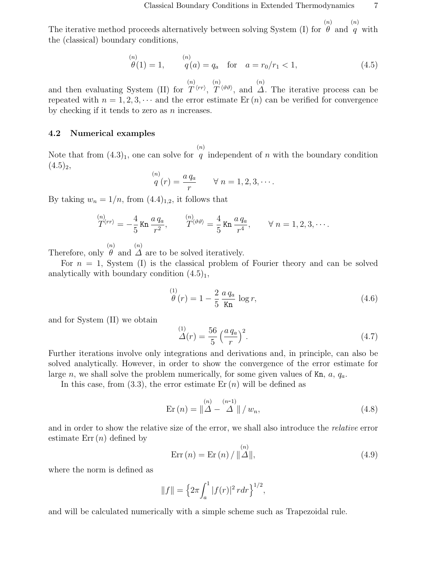The iterative method proceeds alternatively between solving System (I) for  $\theta$  and  $q$  with  $(n)$  $(n)$ the (classical) boundary conditions,

$$
\overset{(n)}{\theta(1)} = 1, \qquad \overset{(n)}{q(a)} = q_a \quad \text{for} \quad a = r_0/r_1 < 1,\tag{4.5}
$$

and then evaluating System (II) for (n)  $T^{\, \langle rr \rangle},$ (n)  $T^{\langle \vartheta \vartheta \rangle}$ , and (n) ∆. The iterative process can be repeated with  $n = 1, 2, 3, \cdots$  and the error estimate Er (n) can be verified for convergence by checking if it tends to zero as  $n$  increases.

### 4.2 Numerical examples

Note that from  $(4.3)_1$ , one can solve for q independent of n with the boundary condition (n)  $(4.5)_2$ ,

$$
\stackrel{(n)}{q}(r) = \frac{a q_a}{r} \qquad \forall n = 1, 2, 3, \cdots.
$$

By taking  $w_n = 1/n$ , from  $(4.4)_{1,2}$ , it follows that

$$
\mathop{T\langle rr \rangle}^{(n)} = -\frac{4}{5} \operatorname{Kn} \frac{a \, q_a}{r^2}, \qquad \mathop{T\langle\vartheta\vartheta\rangle}^{(n)} = \frac{4}{5} \operatorname{Kn} \frac{a \, q_a}{r^4}, \qquad \forall \, n = 1, 2, 3, \cdots.
$$

Therefore, only  $\theta$  and  $\Delta$  are to be solved iteratively. (n)  $(n)$ 

For  $n = 1$ , System (I) is the classical problem of Fourier theory and can be solved analytically with boundary condition  $(4.5)<sub>1</sub>$ ,

$$
\stackrel{(1)}{\theta}(r) = 1 - \frac{2}{5} \frac{a q_a}{\text{Kn}} \log r,\tag{4.6}
$$

and for System (II) we obtain

$$
\mathcal{L}(r) = \frac{56}{5} \left(\frac{a q_a}{r}\right)^2. \tag{4.7}
$$

Further iterations involve only integrations and derivations and, in principle, can also be solved analytically. However, in order to show the convergence of the error estimate for large n, we shall solve the problem numerically, for some given values of  $Kn$ ,  $a$ ,  $q_a$ .

In this case, from  $(3.3)$ , the error estimate Er  $(n)$  will be defined as

$$
\text{Er}\left(n\right) = \left\|\Delta - \Delta^{(n-1)}\right\| / w_n,\tag{4.8}
$$

and in order to show the relative size of the error, we shall also introduce the relative error estimate  $Err(n)$  defined by

$$
Err(n) = Er(n) / ||\overset{(n)}{\Delta}||, \tag{4.9}
$$

where the norm is defined as

$$
||f|| = \left\{2\pi \int_a^1 |f(r)|^2 \, r dr\right\}^{1/2},
$$

and will be calculated numerically with a simple scheme such as Trapezoidal rule.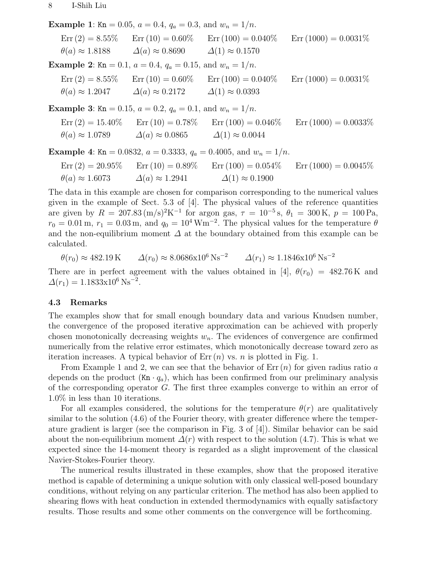**Example 1:** Kn = 0.05,  $a = 0.4$ ,  $q_a = 0.3$ , and  $w_n = 1/n$ .  $\text{Err}(2) = 8.55\%$   $\text{Err}(10) = 0.60\%$   $\text{Err}(100) = 0.040\%$   $\text{Err}(1000) = 0.0031\%$  $\theta(a) \approx 1.8188$   $\Delta(a) \approx 0.8690$   $\Delta(1) \approx 0.1570$ Example 2: Kn = 0.1,  $a = 0.4$ ,  $q_a = 0.15$ , and  $w_n = 1/n$ .  $\text{Err}(2) = 8.55\%$   $\text{Err}(10) = 0.60\%$   $\text{Err}(100) = 0.040\%$   $\text{Err}(1000) = 0.0031\%$  $\theta(a) \approx 1.2047 \qquad \Delta(a) \approx 0.2172 \qquad \Delta(1) \approx 0.0393$ **Example 3:** Kn = 0.15,  $a = 0.2$ ,  $q_a = 0.1$ , and  $w_n = 1/n$ .  $\text{Err}(2) = 15.40\%$   $\text{Err}(10) = 0.78\%$   $\text{Err}(100) = 0.046\%$   $\text{Err}(1000) = 0.0033\%$  $\theta(a) \approx 1.0789 \qquad \Delta(a) \approx 0.0865 \qquad \Delta(1) \approx 0.0044$ Example 4: Kn = 0.0832,  $a = 0.3333$ ,  $q_a = 0.4005$ , and  $w_n = 1/n$ .  $Err(2) = 20.95\%$   $Err(10) = 0.89\%$   $Err(100) = 0.054\%$   $Err(1000) = 0.0045\%$ 

The data in this example are chosen for comparison corresponding to the numerical values given in the example of Sect. 5.3 of [4]. The physical values of the reference quantities are given by  $R = 207.83 \, (\text{m/s})^2 \text{K}^{-1}$  for argon gas,  $\tau = 10^{-5} \text{s}$ ,  $\theta_1 = 300 \text{ K}$ ,  $p = 100 \text{ Pa}$ ,  $r_0 = 0.01 \,\mathrm{m}, r_1 = 0.03 \,\mathrm{m}, \text{ and } q_0 = 10^4 \,\mathrm{Wm}^{-2}$ . The physical values for the temperature  $\theta$ and the non-equilibrium moment  $\Delta$  at the boundary obtained from this example can be calculated.

 $\theta(r_0) \approx 482.19 \,\mathrm{K} \qquad \Delta(r_0) \approx 8.0686 \times 10^6 \,\mathrm{Ns}^{-2} \qquad \Delta(r_1) \approx 1.1846 \times 10^6 \,\mathrm{Ns}^{-2}$ 

 $\theta(a) \approx 1.6073 \qquad \Delta(a) \approx 1.2941 \qquad \Delta(1) \approx 0.1900$ 

There are in perfect agreement with the values obtained in [4],  $\theta(r_0) = 482.76 \text{ K}$  and  $\Delta(r_1) = 1.1833 \times 10^6 \text{ Ns}^{-2}.$ 

### 4.3 Remarks

The examples show that for small enough boundary data and various Knudsen number, the convergence of the proposed iterative approximation can be achieved with properly chosen monotonically decreasing weights  $w_n$ . The evidences of convergence are confirmed numerically from the relative error estimates, which monotonically decrease toward zero as iteration increases. A typical behavior of  $Err(n)$  vs. *n* is plotted in Fig. 1.

From Example 1 and 2, we can see that the behavior of  $Err(n)$  for given radius ratio a depends on the product  $(Kn \cdot q_a)$ , which has been confirmed from our preliminary analysis of the corresponding operator G. The first three examples converge to within an error of 1.0% in less than 10 iterations.

For all examples considered, the solutions for the temperature  $\theta(r)$  are qualitatively similar to the solution (4.6) of the Fourier theory, with greater difference where the temperature gradient is larger (see the comparison in Fig. 3 of [4]). Similar behavior can be said about the non-equilibrium moment  $\Delta(r)$  with respect to the solution (4.7). This is what we expected since the 14-moment theory is regarded as a slight improvement of the classical Navier-Stokes-Fourier theory.

The numerical results illustrated in these examples, show that the proposed iterative method is capable of determining a unique solution with only classical well-posed boundary conditions, without relying on any particular criterion. The method has also been applied to shearing flows with heat conduction in extended thermodynamics with equally satisfactory results. Those results and some other comments on the convergence will be forthcoming.